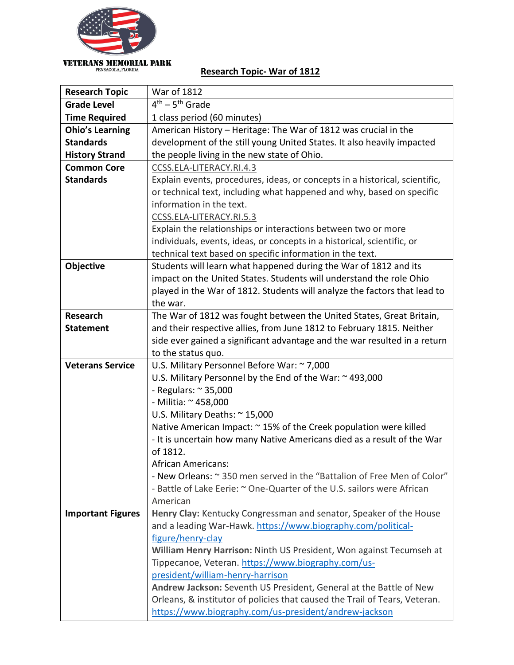

## **Research Topic- War of 1812**

| <b>Research Topic</b>    | <b>War of 1812</b>                                                          |
|--------------------------|-----------------------------------------------------------------------------|
| <b>Grade Level</b>       | $\overline{4^{th}}$ – 5 <sup>th</sup> Grade                                 |
| <b>Time Required</b>     | 1 class period (60 minutes)                                                 |
| <b>Ohio's Learning</b>   | American History – Heritage: The War of 1812 was crucial in the             |
| <b>Standards</b>         | development of the still young United States. It also heavily impacted      |
| <b>History Strand</b>    | the people living in the new state of Ohio.                                 |
| <b>Common Core</b>       | CCSS.ELA-LITERACY.RI.4.3                                                    |
| <b>Standards</b>         | Explain events, procedures, ideas, or concepts in a historical, scientific, |
|                          | or technical text, including what happened and why, based on specific       |
|                          | information in the text.                                                    |
|                          | CCSS.ELA-LITERACY.RI.5.3                                                    |
|                          | Explain the relationships or interactions between two or more               |
|                          | individuals, events, ideas, or concepts in a historical, scientific, or     |
|                          | technical text based on specific information in the text.                   |
| Objective                | Students will learn what happened during the War of 1812 and its            |
|                          | impact on the United States. Students will understand the role Ohio         |
|                          | played in the War of 1812. Students will analyze the factors that lead to   |
|                          | the war.                                                                    |
| <b>Research</b>          | The War of 1812 was fought between the United States, Great Britain,        |
| <b>Statement</b>         | and their respective allies, from June 1812 to February 1815. Neither       |
|                          | side ever gained a significant advantage and the war resulted in a return   |
|                          | to the status quo.                                                          |
| <b>Veterans Service</b>  | U.S. Military Personnel Before War: ~ 7,000                                 |
|                          | U.S. Military Personnel by the End of the War: ~493,000                     |
|                          | - Regulars: $\approx$ 35,000                                                |
|                          | - Militia: ~ 458,000                                                        |
|                          | U.S. Military Deaths: ~ 15,000                                              |
|                          | Native American Impact: ~ 15% of the Creek population were killed           |
|                          | - It is uncertain how many Native Americans died as a result of the War     |
|                          | of 1812.                                                                    |
|                          | <b>African Americans:</b>                                                   |
|                          | - New Orleans: ~ 350 men served in the "Battalion of Free Men of Color"     |
|                          | - Battle of Lake Eerie: ~ One-Quarter of the U.S. sailors were African      |
|                          | American                                                                    |
| <b>Important Figures</b> | Henry Clay: Kentucky Congressman and senator, Speaker of the House          |
|                          | and a leading War-Hawk. https://www.biography.com/political-                |
|                          | figure/henry-clay                                                           |
|                          | William Henry Harrison: Ninth US President, Won against Tecumseh at         |
|                          | Tippecanoe, Veteran. https://www.biography.com/us-                          |
|                          | president/william-henry-harrison                                            |
|                          | Andrew Jackson: Seventh US President, General at the Battle of New          |
|                          | Orleans, & institutor of policies that caused the Trail of Tears, Veteran.  |
|                          | https://www.biography.com/us-president/andrew-jackson                       |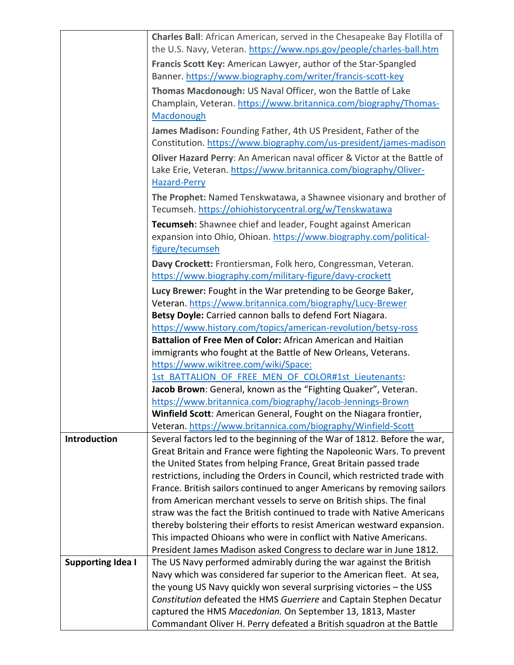|                          | Charles Ball: African American, served in the Chesapeake Bay Flotilla of<br>the U.S. Navy, Veteran. https://www.nps.gov/people/charles-ball.htm                     |
|--------------------------|---------------------------------------------------------------------------------------------------------------------------------------------------------------------|
|                          | Francis Scott Key: American Lawyer, author of the Star-Spangled                                                                                                     |
|                          | Banner. https://www.biography.com/writer/francis-scott-key                                                                                                          |
|                          | Thomas Macdonough: US Naval Officer, won the Battle of Lake<br>Champlain, Veteran. https://www.britannica.com/biography/Thomas-<br>Macdonough                       |
|                          | James Madison: Founding Father, 4th US President, Father of the<br>Constitution. https://www.biography.com/us-president/james-madison                               |
|                          | Oliver Hazard Perry: An American naval officer & Victor at the Battle of<br>Lake Erie, Veteran. https://www.britannica.com/biography/Oliver-<br><b>Hazard-Perry</b> |
|                          | The Prophet: Named Tenskwatawa, a Shawnee visionary and brother of<br>Tecumseh. https://ohiohistorycentral.org/w/Tenskwatawa                                        |
|                          | Tecumseh: Shawnee chief and leader, Fought against American<br>expansion into Ohio, Ohioan. https://www.biography.com/political-<br>figure/tecumseh                 |
|                          | Davy Crockett: Frontiersman, Folk hero, Congressman, Veteran.<br>https://www.biography.com/military-figure/davy-crockett                                            |
|                          | Lucy Brewer: Fought in the War pretending to be George Baker,                                                                                                       |
|                          | Veteran. https://www.britannica.com/biography/Lucy-Brewer                                                                                                           |
|                          | Betsy Doyle: Carried cannon balls to defend Fort Niagara.                                                                                                           |
|                          | https://www.history.com/topics/american-revolution/betsy-ross                                                                                                       |
|                          | Battalion of Free Men of Color: African American and Haitian                                                                                                        |
|                          | immigrants who fought at the Battle of New Orleans, Veterans.                                                                                                       |
|                          | https://www.wikitree.com/wiki/Space:                                                                                                                                |
|                          | 1st BATTALION OF FREE MEN OF COLOR#1st Lieutenants:                                                                                                                 |
|                          | Jacob Brown: General, known as the "Fighting Quaker", Veteran.                                                                                                      |
|                          | https://www.britannica.com/biography/Jacob-Jennings-Brown                                                                                                           |
|                          | Winfield Scott: American General, Fought on the Niagara frontier,                                                                                                   |
|                          | Veteran. https://www.britannica.com/biography/Winfield-Scott                                                                                                        |
| <b>Introduction</b>      | Several factors led to the beginning of the War of 1812. Before the war,                                                                                            |
|                          | Great Britain and France were fighting the Napoleonic Wars. To prevent<br>the United States from helping France, Great Britain passed trade                         |
|                          | restrictions, including the Orders in Council, which restricted trade with                                                                                          |
|                          | France. British sailors continued to anger Americans by removing sailors                                                                                            |
|                          | from American merchant vessels to serve on British ships. The final                                                                                                 |
|                          | straw was the fact the British continued to trade with Native Americans                                                                                             |
|                          | thereby bolstering their efforts to resist American westward expansion.                                                                                             |
|                          | This impacted Ohioans who were in conflict with Native Americans.                                                                                                   |
|                          | President James Madison asked Congress to declare war in June 1812.                                                                                                 |
| <b>Supporting Idea I</b> | The US Navy performed admirably during the war against the British                                                                                                  |
|                          | Navy which was considered far superior to the American fleet. At sea,                                                                                               |
|                          | the young US Navy quickly won several surprising victories - the USS                                                                                                |
|                          | Constitution defeated the HMS Guerriere and Captain Stephen Decatur                                                                                                 |
|                          | captured the HMS Macedonian. On September 13, 1813, Master                                                                                                          |
|                          | Commandant Oliver H. Perry defeated a British squadron at the Battle                                                                                                |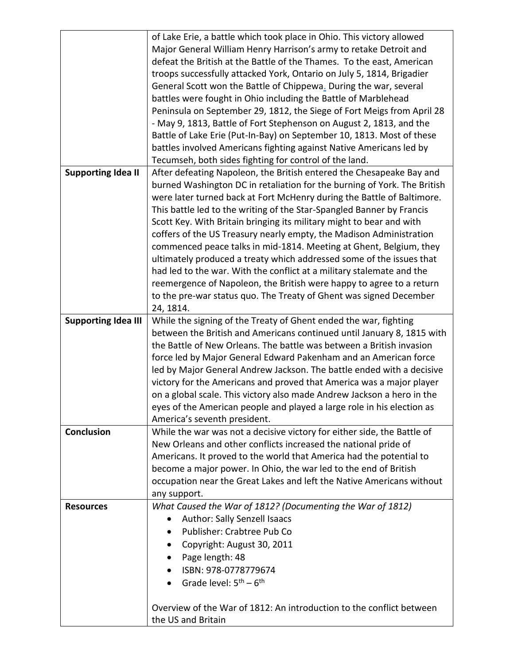|                            | of Lake Erie, a battle which took place in Ohio. This victory allowed    |
|----------------------------|--------------------------------------------------------------------------|
|                            | Major General William Henry Harrison's army to retake Detroit and        |
|                            | defeat the British at the Battle of the Thames. To the east, American    |
|                            | troops successfully attacked York, Ontario on July 5, 1814, Brigadier    |
|                            | General Scott won the Battle of Chippewa. During the war, several        |
|                            | battles were fought in Ohio including the Battle of Marblehead           |
|                            | Peninsula on September 29, 1812, the Siege of Fort Meigs from April 28   |
|                            | - May 9, 1813, Battle of Fort Stephenson on August 2, 1813, and the      |
|                            | Battle of Lake Erie (Put-In-Bay) on September 10, 1813. Most of these    |
|                            |                                                                          |
|                            | battles involved Americans fighting against Native Americans led by      |
|                            | Tecumseh, both sides fighting for control of the land.                   |
| <b>Supporting Idea II</b>  | After defeating Napoleon, the British entered the Chesapeake Bay and     |
|                            | burned Washington DC in retaliation for the burning of York. The British |
|                            | were later turned back at Fort McHenry during the Battle of Baltimore.   |
|                            | This battle led to the writing of the Star-Spangled Banner by Francis    |
|                            | Scott Key. With Britain bringing its military might to bear and with     |
|                            | coffers of the US Treasury nearly empty, the Madison Administration      |
|                            | commenced peace talks in mid-1814. Meeting at Ghent, Belgium, they       |
|                            | ultimately produced a treaty which addressed some of the issues that     |
|                            | had led to the war. With the conflict at a military stalemate and the    |
|                            | reemergence of Napoleon, the British were happy to agree to a return     |
|                            | to the pre-war status quo. The Treaty of Ghent was signed December       |
|                            | 24, 1814.                                                                |
| <b>Supporting Idea III</b> | While the signing of the Treaty of Ghent ended the war, fighting         |
|                            | between the British and Americans continued until January 8, 1815 with   |
|                            | the Battle of New Orleans. The battle was between a British invasion     |
|                            | force led by Major General Edward Pakenham and an American force         |
|                            | led by Major General Andrew Jackson. The battle ended with a decisive    |
|                            | victory for the Americans and proved that America was a major player     |
|                            | on a global scale. This victory also made Andrew Jackson a hero in the   |
|                            |                                                                          |
|                            | eyes of the American people and played a large role in his election as   |
| <b>Conclusion</b>          | America's seventh president.                                             |
|                            | While the war was not a decisive victory for either side, the Battle of  |
|                            | New Orleans and other conflicts increased the national pride of          |
|                            | Americans. It proved to the world that America had the potential to      |
|                            | become a major power. In Ohio, the war led to the end of British         |
|                            | occupation near the Great Lakes and left the Native Americans without    |
|                            | any support.                                                             |
| <b>Resources</b>           | What Caused the War of 1812? (Documenting the War of 1812)               |
|                            | Author: Sally Senzell Isaacs                                             |
|                            | Publisher: Crabtree Pub Co                                               |
|                            | Copyright: August 30, 2011                                               |
|                            | Page length: 48                                                          |
|                            | ISBN: 978-0778779674                                                     |
|                            | Grade level: $5th - 6th$                                                 |
|                            |                                                                          |
|                            | Overview of the War of 1812: An introduction to the conflict between     |
|                            | the US and Britain                                                       |
|                            |                                                                          |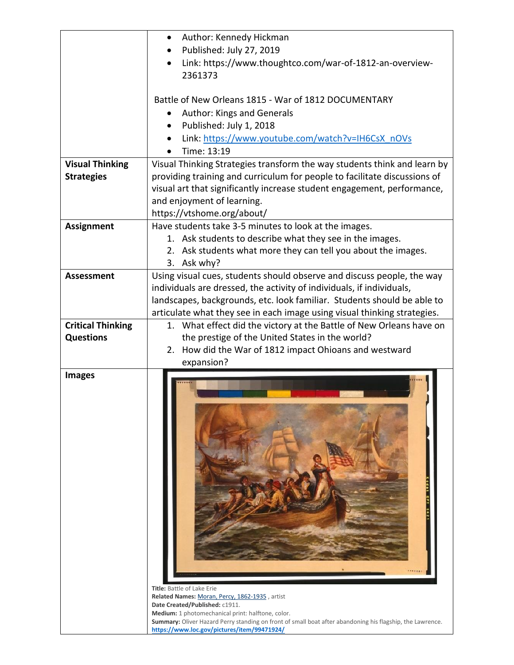| Published: July 27, 2019<br>2361373<br>Battle of New Orleans 1815 - War of 1812 DOCUMENTARY<br>Author: Kings and Generals<br>Published: July 1, 2018<br>Link: https://www.youtube.com/watch?v=IH6CsX_nOVs<br>Time: 13:19<br><b>Visual Thinking</b><br>Visual Thinking Strategies transform the way students think and learn by<br>providing training and curriculum for people to facilitate discussions of<br><b>Strategies</b><br>visual art that significantly increase student engagement, performance,<br>and enjoyment of learning.<br>https://vtshome.org/about/<br>Have students take 3-5 minutes to look at the images.<br><b>Assignment</b><br>1. Ask students to describe what they see in the images.<br>2. Ask students what more they can tell you about the images.<br>3. Ask why?<br><b>Assessment</b><br>individuals are dressed, the activity of individuals, if individuals,<br><b>Critical Thinking</b><br>the prestige of the United States in the world?<br><b>Questions</b><br>2. How did the War of 1812 impact Ohioans and westward<br>expansion?<br><b>Images</b> | Author: Kennedy Hickman                                                                                   |
|---------------------------------------------------------------------------------------------------------------------------------------------------------------------------------------------------------------------------------------------------------------------------------------------------------------------------------------------------------------------------------------------------------------------------------------------------------------------------------------------------------------------------------------------------------------------------------------------------------------------------------------------------------------------------------------------------------------------------------------------------------------------------------------------------------------------------------------------------------------------------------------------------------------------------------------------------------------------------------------------------------------------------------------------------------------------------------------------|-----------------------------------------------------------------------------------------------------------|
|                                                                                                                                                                                                                                                                                                                                                                                                                                                                                                                                                                                                                                                                                                                                                                                                                                                                                                                                                                                                                                                                                             |                                                                                                           |
|                                                                                                                                                                                                                                                                                                                                                                                                                                                                                                                                                                                                                                                                                                                                                                                                                                                                                                                                                                                                                                                                                             | Link: https://www.thoughtco.com/war-of-1812-an-overview-                                                  |
|                                                                                                                                                                                                                                                                                                                                                                                                                                                                                                                                                                                                                                                                                                                                                                                                                                                                                                                                                                                                                                                                                             |                                                                                                           |
|                                                                                                                                                                                                                                                                                                                                                                                                                                                                                                                                                                                                                                                                                                                                                                                                                                                                                                                                                                                                                                                                                             |                                                                                                           |
|                                                                                                                                                                                                                                                                                                                                                                                                                                                                                                                                                                                                                                                                                                                                                                                                                                                                                                                                                                                                                                                                                             |                                                                                                           |
|                                                                                                                                                                                                                                                                                                                                                                                                                                                                                                                                                                                                                                                                                                                                                                                                                                                                                                                                                                                                                                                                                             |                                                                                                           |
|                                                                                                                                                                                                                                                                                                                                                                                                                                                                                                                                                                                                                                                                                                                                                                                                                                                                                                                                                                                                                                                                                             |                                                                                                           |
|                                                                                                                                                                                                                                                                                                                                                                                                                                                                                                                                                                                                                                                                                                                                                                                                                                                                                                                                                                                                                                                                                             |                                                                                                           |
|                                                                                                                                                                                                                                                                                                                                                                                                                                                                                                                                                                                                                                                                                                                                                                                                                                                                                                                                                                                                                                                                                             |                                                                                                           |
|                                                                                                                                                                                                                                                                                                                                                                                                                                                                                                                                                                                                                                                                                                                                                                                                                                                                                                                                                                                                                                                                                             |                                                                                                           |
|                                                                                                                                                                                                                                                                                                                                                                                                                                                                                                                                                                                                                                                                                                                                                                                                                                                                                                                                                                                                                                                                                             |                                                                                                           |
|                                                                                                                                                                                                                                                                                                                                                                                                                                                                                                                                                                                                                                                                                                                                                                                                                                                                                                                                                                                                                                                                                             |                                                                                                           |
|                                                                                                                                                                                                                                                                                                                                                                                                                                                                                                                                                                                                                                                                                                                                                                                                                                                                                                                                                                                                                                                                                             |                                                                                                           |
|                                                                                                                                                                                                                                                                                                                                                                                                                                                                                                                                                                                                                                                                                                                                                                                                                                                                                                                                                                                                                                                                                             |                                                                                                           |
|                                                                                                                                                                                                                                                                                                                                                                                                                                                                                                                                                                                                                                                                                                                                                                                                                                                                                                                                                                                                                                                                                             |                                                                                                           |
|                                                                                                                                                                                                                                                                                                                                                                                                                                                                                                                                                                                                                                                                                                                                                                                                                                                                                                                                                                                                                                                                                             |                                                                                                           |
|                                                                                                                                                                                                                                                                                                                                                                                                                                                                                                                                                                                                                                                                                                                                                                                                                                                                                                                                                                                                                                                                                             | Using visual cues, students should observe and discuss people, the way                                    |
|                                                                                                                                                                                                                                                                                                                                                                                                                                                                                                                                                                                                                                                                                                                                                                                                                                                                                                                                                                                                                                                                                             |                                                                                                           |
|                                                                                                                                                                                                                                                                                                                                                                                                                                                                                                                                                                                                                                                                                                                                                                                                                                                                                                                                                                                                                                                                                             | landscapes, backgrounds, etc. look familiar. Students should be able to                                   |
|                                                                                                                                                                                                                                                                                                                                                                                                                                                                                                                                                                                                                                                                                                                                                                                                                                                                                                                                                                                                                                                                                             | articulate what they see in each image using visual thinking strategies.                                  |
|                                                                                                                                                                                                                                                                                                                                                                                                                                                                                                                                                                                                                                                                                                                                                                                                                                                                                                                                                                                                                                                                                             | 1. What effect did the victory at the Battle of New Orleans have on                                       |
|                                                                                                                                                                                                                                                                                                                                                                                                                                                                                                                                                                                                                                                                                                                                                                                                                                                                                                                                                                                                                                                                                             |                                                                                                           |
|                                                                                                                                                                                                                                                                                                                                                                                                                                                                                                                                                                                                                                                                                                                                                                                                                                                                                                                                                                                                                                                                                             |                                                                                                           |
|                                                                                                                                                                                                                                                                                                                                                                                                                                                                                                                                                                                                                                                                                                                                                                                                                                                                                                                                                                                                                                                                                             |                                                                                                           |
| <b>Title:</b> Battle of Lake Erie<br>Related Names: Moran, Percy, 1862-1935, artist                                                                                                                                                                                                                                                                                                                                                                                                                                                                                                                                                                                                                                                                                                                                                                                                                                                                                                                                                                                                         |                                                                                                           |
|                                                                                                                                                                                                                                                                                                                                                                                                                                                                                                                                                                                                                                                                                                                                                                                                                                                                                                                                                                                                                                                                                             |                                                                                                           |
| Date Created/Published: c1911.                                                                                                                                                                                                                                                                                                                                                                                                                                                                                                                                                                                                                                                                                                                                                                                                                                                                                                                                                                                                                                                              |                                                                                                           |
| Medium: 1 photomechanical print: halftone, color.                                                                                                                                                                                                                                                                                                                                                                                                                                                                                                                                                                                                                                                                                                                                                                                                                                                                                                                                                                                                                                           | Summary: Oliver Hazard Perry standing on front of small boat after abandoning his flagship, the Lawrence. |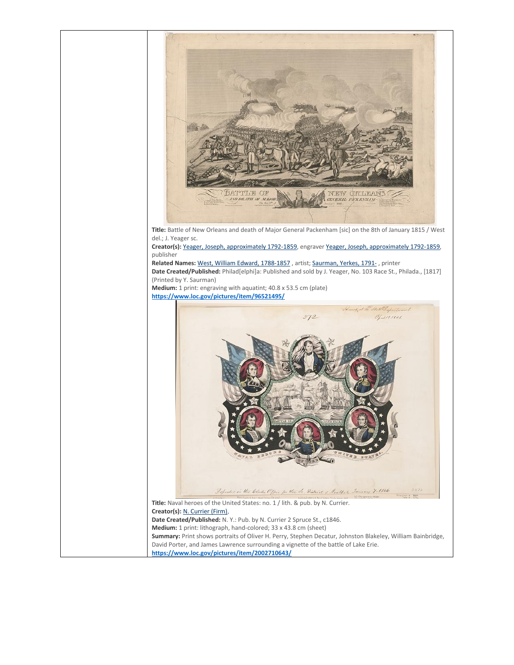